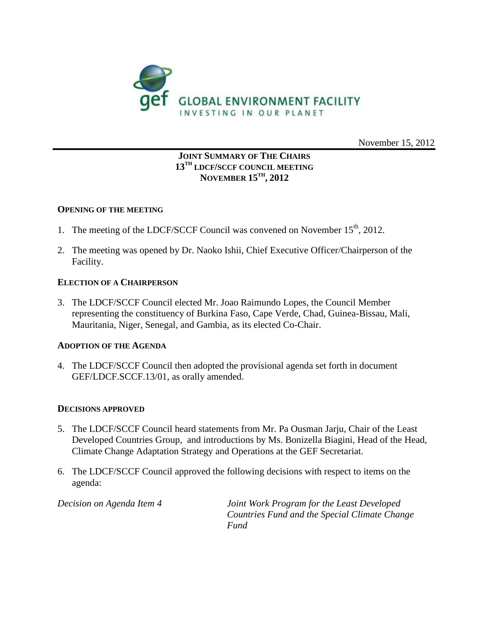

November 15, 2012

# **JOINT SUMMARY OF THE CHAIRS 13TH LDCF/SCCF COUNCIL MEETING NOVEMBER 15TH , 2012**

## **OPENING OF THE MEETING**

- 1. The meeting of the LDCF/SCCF Council was convened on November  $15<sup>th</sup>$ , 2012.
- 2. The meeting was opened by Dr. Naoko Ishii, Chief Executive Officer/Chairperson of the Facility.

# **ELECTION OF A CHAIRPERSON**

3. The LDCF/SCCF Council elected Mr. Joao Raimundo Lopes, the Council Member representing the constituency of Burkina Faso, Cape Verde, Chad, Guinea-Bissau, Mali, Mauritania, Niger, Senegal, and Gambia, as its elected Co-Chair.

## **ADOPTION OF THE AGENDA**

4. The LDCF/SCCF Council then adopted the provisional agenda set forth in document GEF/LDCF.SCCF.13/01, as orally amended.

## **DECISIONS APPROVED**

- 5. The LDCF/SCCF Council heard statements from Mr. Pa Ousman Jarju, Chair of the Least Developed Countries Group, and introductions by Ms. Bonizella Biagini, Head of the Head, Climate Change Adaptation Strategy and Operations at the GEF Secretariat.
- 6. The LDCF/SCCF Council approved the following decisions with respect to items on the agenda:

*Decision on Agenda Item 4 Joint Work Program for the Least Developed Countries Fund and the Special Climate Change Fund*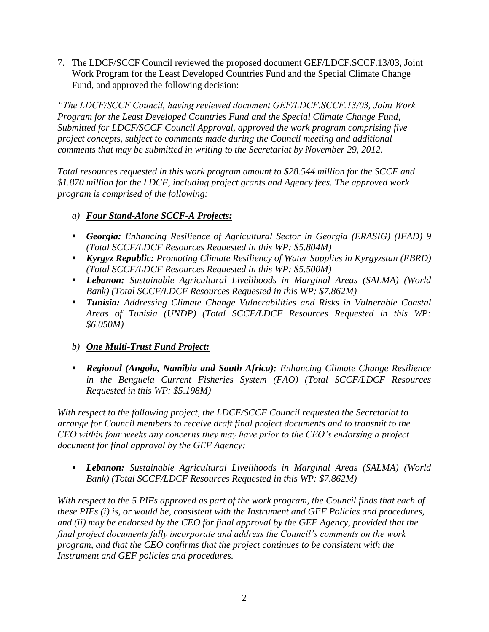7. The LDCF/SCCF Council reviewed the proposed document GEF/LDCF.SCCF.13/03, Joint Work Program for the Least Developed Countries Fund and the Special Climate Change Fund, and approved the following decision:

*"The LDCF/SCCF Council, having reviewed document GEF/LDCF.SCCF.13/03, Joint Work Program for the Least Developed Countries Fund and the Special Climate Change Fund, Submitted for LDCF/SCCF Council Approval, approved the work program comprising five project concepts, subject to comments made during the Council meeting and additional comments that may be submitted in writing to the Secretariat by November 29, 2012.*

*Total resources requested in this work program amount to \$28.544 million for the SCCF and \$1.870 million for the LDCF, including project grants and Agency fees. The approved work program is comprised of the following:*

- *a) Four Stand-Alone SCCF-A Projects:*
- *Georgia: Enhancing Resilience of Agricultural Sector in Georgia (ERASIG) (IFAD) 9 (Total SCCF/LDCF Resources Requested in this WP: \$5.804M)*
- *Kyrgyz Republic: Promoting Climate Resiliency of Water Supplies in Kyrgyzstan (EBRD) (Total SCCF/LDCF Resources Requested in this WP: \$5.500M)*
- *Lebanon: Sustainable Agricultural Livelihoods in Marginal Areas (SALMA) (World Bank) (Total SCCF/LDCF Resources Requested in this WP: \$7.862M)*
- *Tunisia: Addressing Climate Change Vulnerabilities and Risks in Vulnerable Coastal Areas of Tunisia (UNDP) (Total SCCF/LDCF Resources Requested in this WP: \$6.050M)*
- *b) One Multi-Trust Fund Project:*
- *Regional (Angola, Namibia and South Africa): Enhancing Climate Change Resilience in the Benguela Current Fisheries System (FAO) (Total SCCF/LDCF Resources Requested in this WP: \$5.198M)*

*With respect to the following project, the LDCF/SCCF Council requested the Secretariat to arrange for Council members to receive draft final project documents and to transmit to the CEO within four weeks any concerns they may have prior to the CEO's endorsing a project document for final approval by the GEF Agency:*

 *Lebanon: Sustainable Agricultural Livelihoods in Marginal Areas (SALMA) (World Bank) (Total SCCF/LDCF Resources Requested in this WP: \$7.862M)*

*With respect to the 5 PIFs approved as part of the work program, the Council finds that each of these PIFs (i) is, or would be, consistent with the Instrument and GEF Policies and procedures, and (ii) may be endorsed by the CEO for final approval by the GEF Agency, provided that the final project documents fully incorporate and address the Council's comments on the work program, and that the CEO confirms that the project continues to be consistent with the Instrument and GEF policies and procedures.*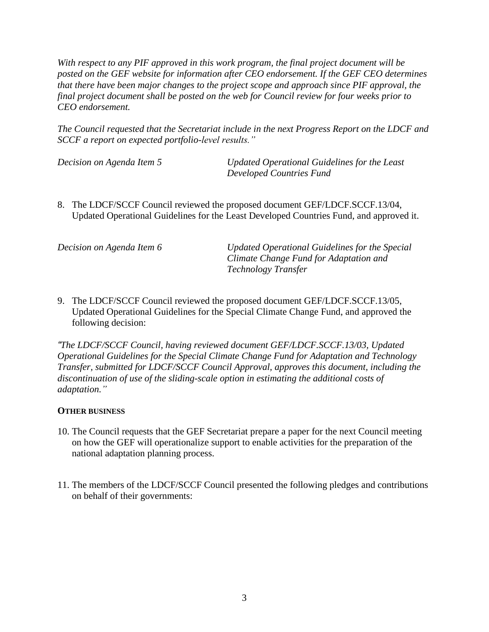*With respect to any PIF approved in this work program, the final project document will be posted on the GEF website for information after CEO endorsement. If the GEF CEO determines that there have been major changes to the project scope and approach since PIF approval, the final project document shall be posted on the web for Council review for four weeks prior to CEO endorsement.*

*The Council requested that the Secretariat include in the next Progress Report on the LDCF and SCCF a report on expected portfolio-level results."*

*Decision on Agenda Item 5 Updated Operational Guidelines for the Least Developed Countries Fund*

8. The LDCF/SCCF Council reviewed the proposed document GEF/LDCF.SCCF.13/04, Updated Operational Guidelines for the Least Developed Countries Fund, and approved it.

| Decision on Agenda Item 6 | Updated Operational Guidelines for the Special |
|---------------------------|------------------------------------------------|
|                           | Climate Change Fund for Adaptation and         |
|                           | <b>Technology Transfer</b>                     |

9. The LDCF/SCCF Council reviewed the proposed document GEF/LDCF.SCCF.13/05, Updated Operational Guidelines for the Special Climate Change Fund, and approved the following decision:

*"The LDCF/SCCF Council, having reviewed document GEF/LDCF.SCCF.13/03, Updated Operational Guidelines for the Special Climate Change Fund for Adaptation and Technology Transfer, submitted for LDCF/SCCF Council Approval, approves this document, including the discontinuation of use of the sliding-scale option in estimating the additional costs of adaptation."*

# **OTHER BUSINESS**

- 10. The Council requests that the GEF Secretariat prepare a paper for the next Council meeting on how the GEF will operationalize support to enable activities for the preparation of the national adaptation planning process.
- 11. The members of the LDCF/SCCF Council presented the following pledges and contributions on behalf of their governments: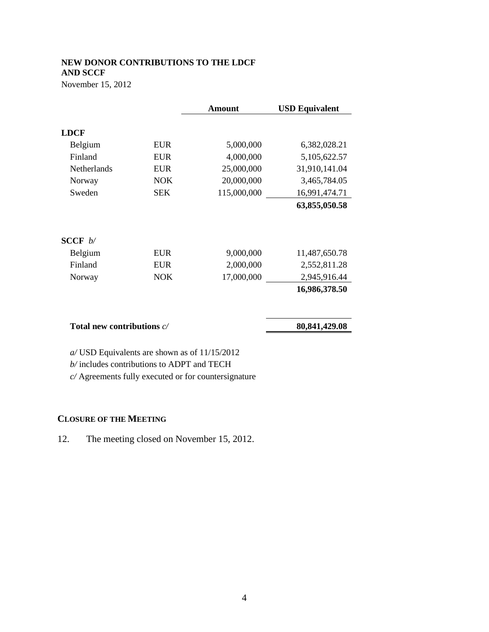# **NEW DONOR CONTRIBUTIONS TO THE LDCF AND SCCF**

November 15, 2012

|            | Amount                       | <b>USD Equivalent</b> |
|------------|------------------------------|-----------------------|
|            |                              |                       |
| <b>EUR</b> | 5,000,000                    | 6,382,028.21          |
| <b>EUR</b> | 4,000,000                    | 5,105,622.57          |
| <b>EUR</b> | 25,000,000                   | 31,910,141.04         |
| <b>NOK</b> | 20,000,000                   | 3,465,784.05          |
| <b>SEK</b> | 115,000,000                  | 16,991,474.71         |
|            |                              | 63,855,050.58         |
|            |                              |                       |
| <b>EUR</b> | 9,000,000                    | 11,487,650.78         |
| <b>EUR</b> | 2,000,000                    | 2,552,811.28          |
| <b>NOK</b> | 17,000,000                   | 2,945,916.44          |
|            |                              | 16,986,378.50         |
|            |                              | 80, 841, 429. 08      |
|            | Total new contributions $c/$ |                       |

*a/* USD Equivalents are shown as of 11/15/2012

*b/* includes contributions to ADPT and TECH

*c/* Agreements fully executed or for countersignature

# **CLOSURE OF THE MEETING**

12. The meeting closed on November 15, 2012.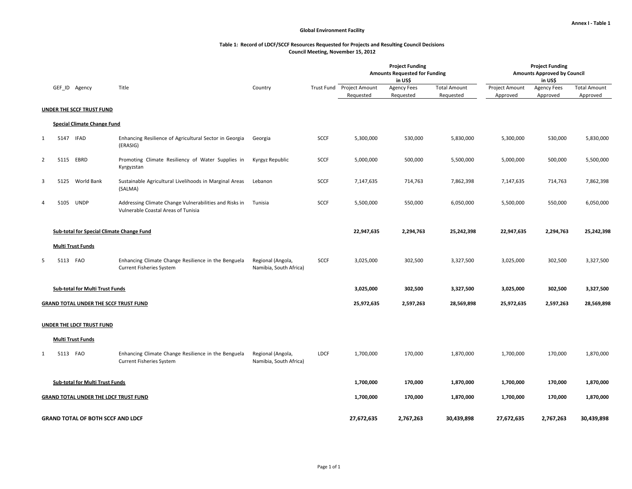#### **Table 1: Record of LDCF/SCCF Resources Requested for Projects and Resulting Council Decisions Council Meeting, November 15, 2012**

|                |          |                                                  |                                                                                               |                                             |             |                                        | <b>Project Funding</b><br><b>Amounts Requested for Funding</b><br>in US\$ |                                  | <b>Project Funding</b><br><b>Amounts Approved by Council</b><br>in US\$ |                                |                                 |
|----------------|----------|--------------------------------------------------|-----------------------------------------------------------------------------------------------|---------------------------------------------|-------------|----------------------------------------|---------------------------------------------------------------------------|----------------------------------|-------------------------------------------------------------------------|--------------------------------|---------------------------------|
|                |          | GEF_ID Agency                                    | Title                                                                                         | Country                                     |             | Trust Fund Project Amount<br>Requested | <b>Agency Fees</b><br>Requested                                           | <b>Total Amount</b><br>Requested | Project Amount<br>Approved                                              | <b>Agency Fees</b><br>Approved | <b>Total Amount</b><br>Approved |
|                |          | <b>UNDER THE SCCF TRUST FUND</b>                 |                                                                                               |                                             |             |                                        |                                                                           |                                  |                                                                         |                                |                                 |
|                |          | <b>Special Climate Change Fund</b>               |                                                                                               |                                             |             |                                        |                                                                           |                                  |                                                                         |                                |                                 |
|                |          |                                                  |                                                                                               |                                             |             |                                        |                                                                           |                                  |                                                                         |                                |                                 |
| $\mathbf{1}$   | 5147     | <b>IFAD</b>                                      | Enhancing Resilience of Agricultural Sector in Georgia<br>(ERASIG)                            | Georgia                                     | SCCF        | 5,300,000                              | 530,000                                                                   | 5,830,000                        | 5,300,000                                                               | 530,000                        | 5,830,000                       |
| $\overline{2}$ |          | 5115 EBRD                                        | Promoting Climate Resiliency of Water Supplies in<br>Kyrgyzstan                               | Kyrgyz Republic                             | SCCF        | 5,000,000                              | 500,000                                                                   | 5,500,000                        | 5,000,000                                                               | 500,000                        | 5,500,000                       |
| 3              | 5125     | World Bank                                       | Sustainable Agricultural Livelihoods in Marginal Areas<br>(SALMA)                             | Lebanon                                     | SCCF        | 7,147,635                              | 714,763                                                                   | 7,862,398                        | 7,147,635                                                               | 714,763                        | 7,862,398                       |
| 4              | 5105     | UNDP                                             | Addressing Climate Change Vulnerabilities and Risks in<br>Vulnerable Coastal Areas of Tunisia | Tunisia                                     | SCCF        | 5,500,000                              | 550,000                                                                   | 6,050,000                        | 5,500,000                                                               | 550,000                        | 6,050,000                       |
|                |          | <b>Sub-total for Special Climate Change Fund</b> |                                                                                               |                                             |             | 22,947,635                             | 2,294,763                                                                 | 25,242,398                       | 22,947,635                                                              | 2,294,763                      | 25,242,398                      |
|                |          | <b>Multi Trust Funds</b>                         |                                                                                               |                                             |             |                                        |                                                                           |                                  |                                                                         |                                |                                 |
| 5              | 5113 FAO |                                                  | Enhancing Climate Change Resilience in the Benguela<br>Current Fisheries System               | Regional (Angola,<br>Namibia, South Africa) | <b>SCCF</b> | 3,025,000                              | 302,500                                                                   | 3,327,500                        | 3,025,000                                                               | 302,500                        | 3,327,500                       |
|                |          | <b>Sub-total for Multi Trust Funds</b>           |                                                                                               |                                             |             | 3,025,000                              | 302,500                                                                   | 3,327,500                        | 3,025,000                                                               | 302,500                        | 3,327,500                       |
|                |          | <b>GRAND TOTAL UNDER THE SCCF TRUST FUND</b>     |                                                                                               |                                             |             | 25,972,635                             | 2,597,263                                                                 | 28,569,898<br>25,972,635         |                                                                         | 2,597,263                      | 28,569,898                      |
|                |          | <b>UNDER THE LDCF TRUST FUND</b>                 |                                                                                               |                                             |             |                                        |                                                                           |                                  |                                                                         |                                |                                 |
|                |          | Multi Trust Funds                                |                                                                                               |                                             |             |                                        |                                                                           |                                  |                                                                         |                                |                                 |
| $\mathbf{1}$   | 5113 FAO |                                                  | Enhancing Climate Change Resilience in the Benguela<br>Current Fisheries System               | Regional (Angola,<br>Namibia, South Africa) | LDCF        | 1,700,000                              | 170,000                                                                   | 1,870,000                        | 1,700,000                                                               | 170,000                        | 1,870,000                       |
|                |          | Sub-total for Multi Trust Funds                  |                                                                                               |                                             |             | 1,700,000                              | 170,000                                                                   | 1,870,000                        | 1,700,000                                                               | 170,000                        | 1,870,000                       |
|                |          | GRAND TOTAL UNDER THE LDCF TRUST FUND            |                                                                                               |                                             |             | 1,700,000                              | 170,000                                                                   | 1,870,000                        | 1,700,000                                                               | 170,000                        | 1,870,000                       |
|                |          | <b>GRAND TOTAL OF BOTH SCCF AND LDCF</b>         |                                                                                               |                                             |             | 27,672,635                             | 2,767,263                                                                 | 30,439,898                       | 27,672,635                                                              | 2,767,263                      | 30,439,898                      |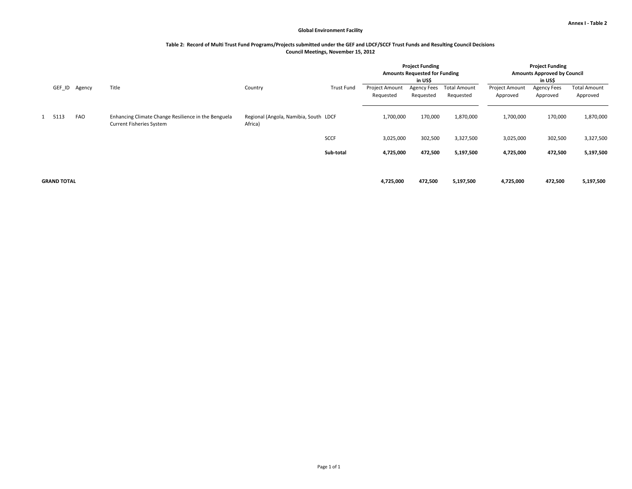#### **Table 2: Record of Multi Trust Fund Programs/Projects submitted under the GEF and LDCF/SCCF Trust Funds and Resulting Council Decisions Council Meetings, November 15, 2012**

|                    |            |                                                                                        |                                                  |                   |                                    | <b>Project Funding</b><br><b>Amounts Requested for Funding</b><br>in US\$ |                                  |                                   | <b>Project Funding</b><br><b>Amounts Approved by Council</b><br>in US\$ |                                 |
|--------------------|------------|----------------------------------------------------------------------------------------|--------------------------------------------------|-------------------|------------------------------------|---------------------------------------------------------------------------|----------------------------------|-----------------------------------|-------------------------------------------------------------------------|---------------------------------|
| GEF_ID             | Agency     | Title                                                                                  | Country                                          | <b>Trust Fund</b> | <b>Project Amount</b><br>Requested | <b>Agency Fees</b><br>Requested                                           | <b>Total Amount</b><br>Requested | <b>Project Amount</b><br>Approved | <b>Agency Fees</b><br>Approved                                          | <b>Total Amount</b><br>Approved |
| 1 5113             | <b>FAO</b> | Enhancing Climate Change Resilience in the Benguela<br><b>Current Fisheries System</b> | Regional (Angola, Namibia, South LDCF<br>Africa) |                   | 1,700,000                          | 170,000                                                                   | 1,870,000                        | 1,700,000                         | 170,000                                                                 | 1,870,000                       |
|                    |            |                                                                                        |                                                  | <b>SCCF</b>       | 3,025,000                          | 302,500                                                                   | 3,327,500                        | 3,025,000                         | 302,500                                                                 | 3,327,500                       |
|                    |            |                                                                                        |                                                  | Sub-total         | 4,725,000                          | 472,500                                                                   | 5,197,500                        | 4,725,000                         | 472,500                                                                 | 5,197,500                       |
| <b>GRAND TOTAL</b> |            |                                                                                        |                                                  |                   | 4,725,000                          | 472,500                                                                   | 5,197,500                        | 4,725,000                         | 472,500                                                                 | 5,197,500                       |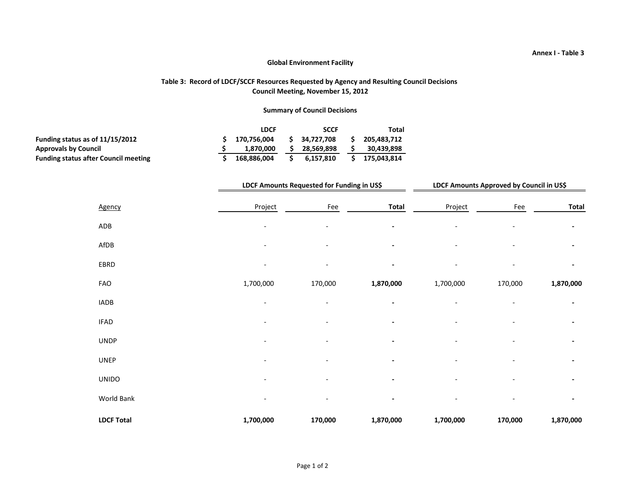## **Table 3: Record of LDCF/SCCF Resources Requested by Agency and Resulting Council Decisions Council Meeting, November 15, 2012**

## **Summary of Council Decisions**

|                                             | <b>LDCF</b> | <b>SCCF</b>  | Total       |
|---------------------------------------------|-------------|--------------|-------------|
| Funding status as of $11/15/2012$           | 170.756.004 | \$34.727.708 | 205.483.712 |
| <b>Approvals by Council</b>                 | 1.870.000   | 28,569,898   | 30,439,898  |
| <b>Funding status after Council meeting</b> | 168.886.004 | 6.157.810    | 175.043.814 |

|                   |                          | LDCF Amounts Requested for Funding in US\$ |              |           | LDCF Amounts Approved by Council in US\$ |           |  |  |  |
|-------------------|--------------------------|--------------------------------------------|--------------|-----------|------------------------------------------|-----------|--|--|--|
| Agency            | Project                  | Fee                                        | <b>Total</b> | Project   | Fee                                      | Total     |  |  |  |
| ADB               | $\overline{\phantom{a}}$ |                                            |              |           |                                          |           |  |  |  |
| AfDB              |                          |                                            |              |           |                                          |           |  |  |  |
| EBRD              | $\overline{\phantom{a}}$ |                                            |              |           |                                          |           |  |  |  |
| FAO               | 1,700,000                | 170,000                                    | 1,870,000    | 1,700,000 | 170,000                                  | 1,870,000 |  |  |  |
| <b>IADB</b>       |                          |                                            |              |           |                                          |           |  |  |  |
| <b>IFAD</b>       |                          |                                            |              |           |                                          |           |  |  |  |
| <b>UNDP</b>       |                          |                                            |              |           |                                          |           |  |  |  |
| <b>UNEP</b>       |                          |                                            |              |           |                                          |           |  |  |  |
| <b>UNIDO</b>      | ٠                        |                                            |              |           |                                          |           |  |  |  |
| World Bank        |                          |                                            |              |           |                                          |           |  |  |  |
| <b>LDCF Total</b> | 1,700,000                | 170,000                                    | 1,870,000    | 1,700,000 | 170,000                                  | 1,870,000 |  |  |  |

### **Annex I - Table 3**